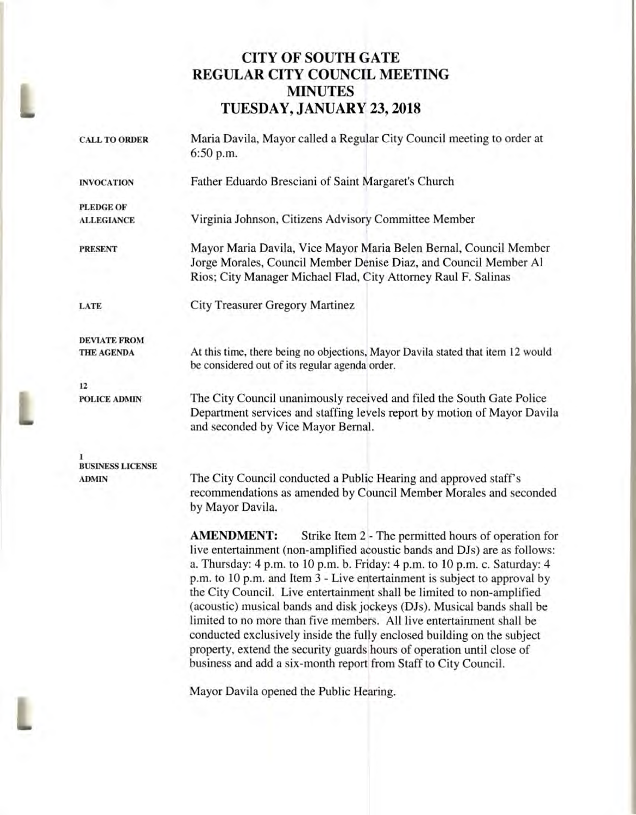## **CITY OF SOUTH GATE REGULAR CITY COUNCIL MEETING MINUTES TUESDAY, JANUARY 23, 2018**

| <b>CALL TO ORDER</b>    | Maria Davila, Mayor called a Regular City Council meeting to order at<br>6:50 p.m.                                                                                                                                                                                                                                                                                                                                                                                                                                                                                                                                         |
|-------------------------|----------------------------------------------------------------------------------------------------------------------------------------------------------------------------------------------------------------------------------------------------------------------------------------------------------------------------------------------------------------------------------------------------------------------------------------------------------------------------------------------------------------------------------------------------------------------------------------------------------------------------|
| <b>INVOCATION</b>       | Father Eduardo Bresciani of Saint Margaret's Church                                                                                                                                                                                                                                                                                                                                                                                                                                                                                                                                                                        |
| <b>PLEDGE OF</b>        |                                                                                                                                                                                                                                                                                                                                                                                                                                                                                                                                                                                                                            |
| <b>ALLEGIANCE</b>       | Virginia Johnson, Citizens Advisory Committee Member                                                                                                                                                                                                                                                                                                                                                                                                                                                                                                                                                                       |
| <b>PRESENT</b>          | Mayor Maria Davila, Vice Mayor Maria Belen Bernal, Council Member<br>Jorge Morales, Council Member Denise Diaz, and Council Member Al<br>Rios; City Manager Michael Flad, City Attorney Raul F. Salinas                                                                                                                                                                                                                                                                                                                                                                                                                    |
| LATE                    | <b>City Treasurer Gregory Martinez</b>                                                                                                                                                                                                                                                                                                                                                                                                                                                                                                                                                                                     |
| <b>DEVIATE FROM</b>     |                                                                                                                                                                                                                                                                                                                                                                                                                                                                                                                                                                                                                            |
| <b>THE AGENDA</b>       | At this time, there being no objections, Mayor Davila stated that item 12 would<br>be considered out of its regular agenda order.                                                                                                                                                                                                                                                                                                                                                                                                                                                                                          |
| 12                      |                                                                                                                                                                                                                                                                                                                                                                                                                                                                                                                                                                                                                            |
| <b>POLICE ADMIN</b>     | The City Council unanimously received and filed the South Gate Police<br>Department services and staffing levels report by motion of Mayor Davila<br>and seconded by Vice Mayor Bernal.                                                                                                                                                                                                                                                                                                                                                                                                                                    |
| <b>BUSINESS LICENSE</b> |                                                                                                                                                                                                                                                                                                                                                                                                                                                                                                                                                                                                                            |
| <b>ADMIN</b>            | The City Council conducted a Public Hearing and approved staff's<br>recommendations as amended by Council Member Morales and seconded<br>by Mayor Davila.                                                                                                                                                                                                                                                                                                                                                                                                                                                                  |
|                         | <b>AMENDMENT:</b><br>Strike Item 2 - The permitted hours of operation for<br>live entertainment (non-amplified acoustic bands and DJs) are as follows:<br>a. Thursday: 4 p.m. to 10 p.m. b. Friday: 4 p.m. to 10 p.m. c. Saturday: 4<br>p.m. to 10 p.m. and Item 3 - Live entertainment is subject to approval by<br>the City Council. Live entertainment shall be limited to non-amplified<br>(acoustic) musical bands and disk jockeys (DJs). Musical bands shall be<br>limited to no more than five members. All live entertainment shall be<br>conducted exclusively inside the fully enclosed building on the subject |

Mayor Davila opened the Public Hearing.

L

property, extend the security guards hours of operation until close of business and add a six-month report from Staff to City Council.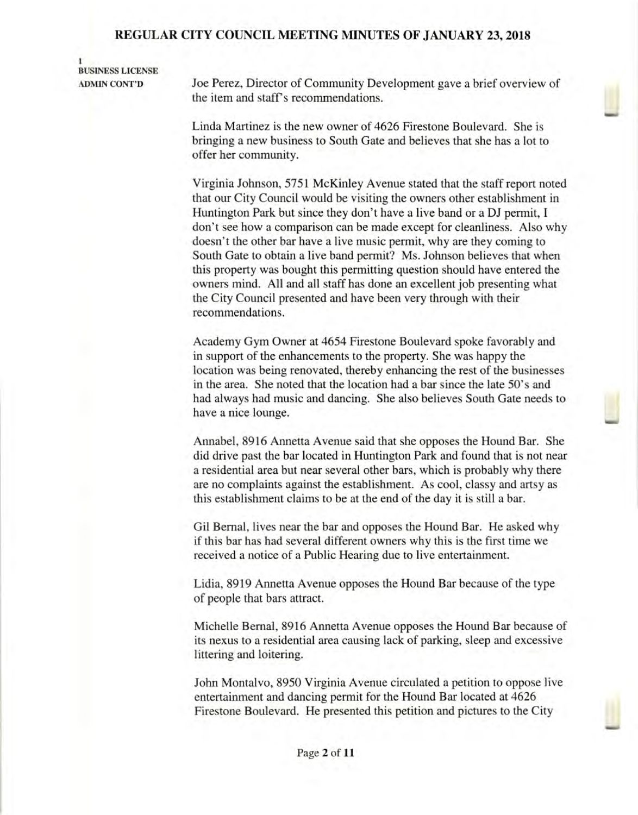**I BUSINESS LICENSE** 

**ADMIN CONT'D** Joe Perez, Director of Community Development gave a brief overview of the item and staff's recommendations.

> Linda Martinez is the new owner of 4626 Firestone Boulevard. She is bringing a new business to South Gate and believes that she has a lot to offer her community.

Virginia Johnson, 5751 McKinley Avenue stated that the staff report noted that our City Council would be visiting the owners other establishment in Huntington Park but since they don't have a live band or a **DJ** permit, I don't see how a comparison can be made except for cleanliness. Also why doesn't the other bar have a live music permit, why are they coming to South Gate to obtain a live band permit? Ms. Johnson believes that when this property was bought this permitting question should have entered the owners mind. All and all staff has done an excellent job presenting what the City Council presented and have been very through with their recommendations.

Academy Gym Owner at 4654 Firestone Boulevard spoke favorably and in support of the enhancements to the property. She was happy the location was being renovated, thereby enhancing the rest of the businesses in the area. She noted that the location had a bar since the late 50's and had always had music and dancing. She also believes South Gate needs to have a nice lounge.

Annabel, 8916 Annetta Avenue said that she opposes the Hound Bar. She did drive past the bar located in Huntington Park and found that is not near a residential area but near several other bars, which is probably why there are no complaints against the establishment. As cool, classy and artsy as this establishment claims to be at the end of the day it is still a bar.

Gil Bernal, lives near the bar and opposes the Hound Bar. He asked why if this bar has had several different owners why this is the first time we received a notice of a Public Hearing due to live entertainment.

Lidia, 8919 Annetta Avenue opposes the Hound Bar because of the type of people that bars attract.

Michelle Bernal, 8916 Annetta Avenue opposes the Hound Bar because of its nexus to a residential area causing lack of parking, sleep and excessive littering and loitering.

John Montalvo, 8950 Virginia Avenue circulated a petition to oppose live entertainment and dancing permit for the Hound Bar located at 4626 Firestone Boulevard. He presented this petition and pictures to the City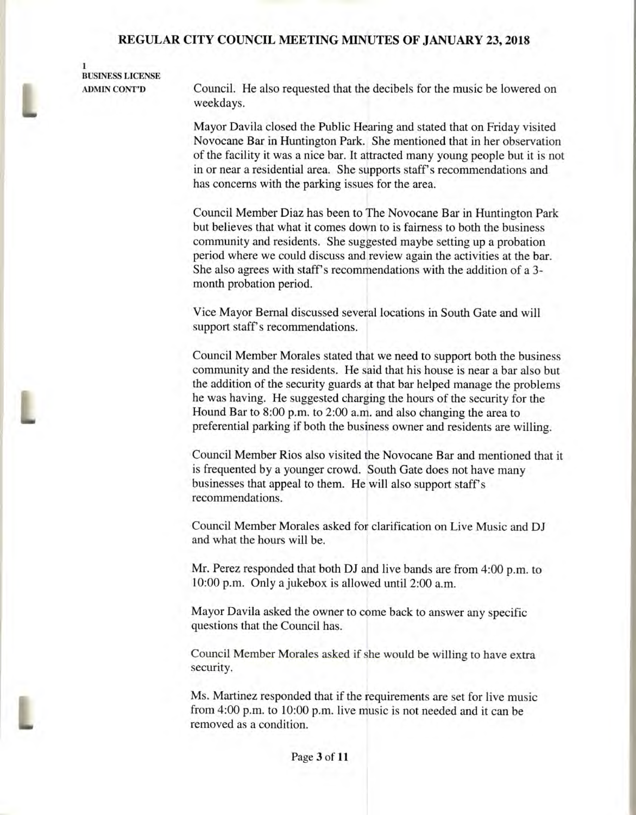### **I BUSINESS LICENSE**

**ADMIN CONT'D** Council. He also requested that the decibels for the music be lowered on weekdays.

> Mayor Davila closed the Public Hearing and stated that on Friday visited Novocane Bar in Huntington Park. She mentioned that in her observation of the facility it was a nice bar. It attracted many young people but it is not in or near a residential area. She supports staff's recommendations and has concerns with the parking issues for the area.

Council Member Diaz has been to The Novocane Bar in Huntington Park but believes that what it comes down to is fairness to both the business community and residents. She suggested maybe setting up a probation period where we could discuss and review again the activities at the bar. She also agrees with staff's recommendations with the addition of a 3 month probation period.

Vice Mayor Bernal discussed several locations in South Gate and will support staff's recommendations.

Council Member Morales stated that we need to support both the business community and the residents. He said that his house is near a bar also but the addition of the security guards at that bar helped manage the problems he was having. He suggested charging the hours of the security for the Hound Bar to 8:00 p.m. to 2:00 a.m. and also changing the area to preferential parking if both the business owner and residents are willing.

Council Member Rios also visited the Novocane Bar and mentioned that it is frequented by a younger crowd. South Gate does not have many businesses that appeal to them. He will also support staff's recommendations.

Council Member Morales asked for clarification on Live Music and DJ and what the hours will be.

Mr. Perez responded that both DJ and live bands are from 4:00 p.m. to 10:00 p.m. Only a jukebox is allowed until 2:00 a.m.

Mayor Davila asked the owner to come back to answer any specific questions that the Council has.

Council Member Morales asked if she would be willing to have extra security.

Ms. Martinez responded that if the requirements are set for live music from 4:00 p.m. to 10:00 p.m. live music is not needed and it can be removed as a condition.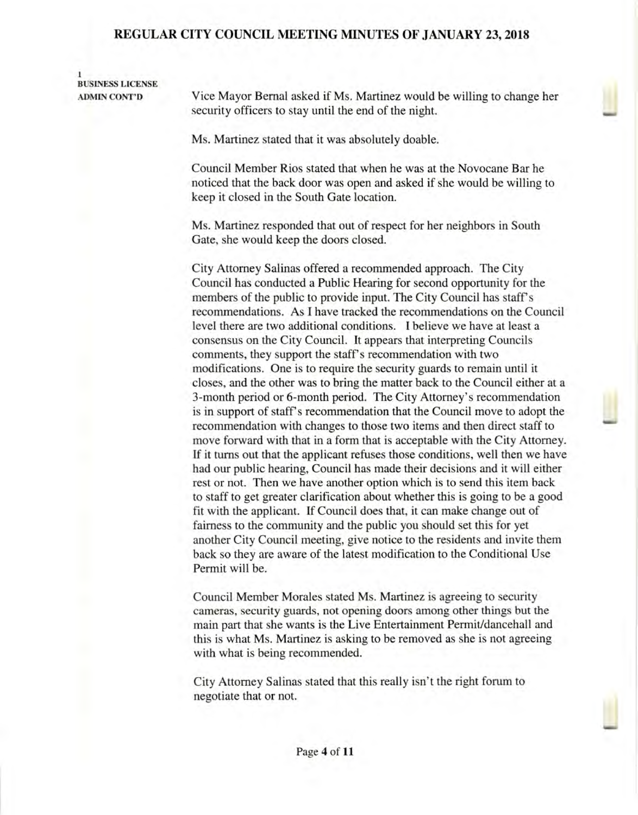1 **BUSINESS LICENSE** 

**ADMIN CONT'D** Vice Mayor Bernal asked if Ms. Martinez would be willing to change her security officers to stay until the end of the night.

Ms. Martinez stated that it was absolutely doable.

Council Member Rios stated that when he was at the Novocane Bar he noticed that the back door was open and asked if she would be willing to keep it closed in the South Gate location.

Ms. Martinez responded that out of respect for her neighbors in South Gate, she would keep the doors closed.

City Attorney Salinas offered a recommended approach. The City Council has conducted a Public Hearing for second opportunity for the members of the public to provide input. The City Council has staff's recommendations. As I have tracked the recommendations on the Council level there are two additional conditions. I believe we have at least a consensus on the City Council. It appears that interpreting Councils comments, they support the staff's recommendation with two modifications. One is to require the security guards to remain until it closes, and the other was to bring the matter back to the Council either at a 3-month period or 6-month period. The City Attorney's recommendation is in support of staff's recommendation that the Council move to adopt the recommendation with changes to those two items and then direct staff to move forward with that in a form that is acceptable with the City Attorney. If it turns out that the applicant refuses those conditions, well then we have had our public hearing, Council has made their decisions and it will either rest or not. Then we have another option which is to send this item back to staff to get greater clarification about whether this is going to be a good fit with the applicant. If Council does that, it can make change out of fairness to the community and the public you should set this for yet another City Council meeting, give notice to the residents and invite them back so they are aware of the latest modification to the Conditional Use Permit will be.

Council Member Morales stated Ms. Martinez is agreeing to security cameras, security guards, not opening doors among other things but the main part that she wants is the Live Entertainment Permit/dancehall and this is what Ms. Martinez is asking to be removed as she is not agreeing with what is being recommended.

City Attorney Salinas stated that this really isn't the right forum to negotiate that or not.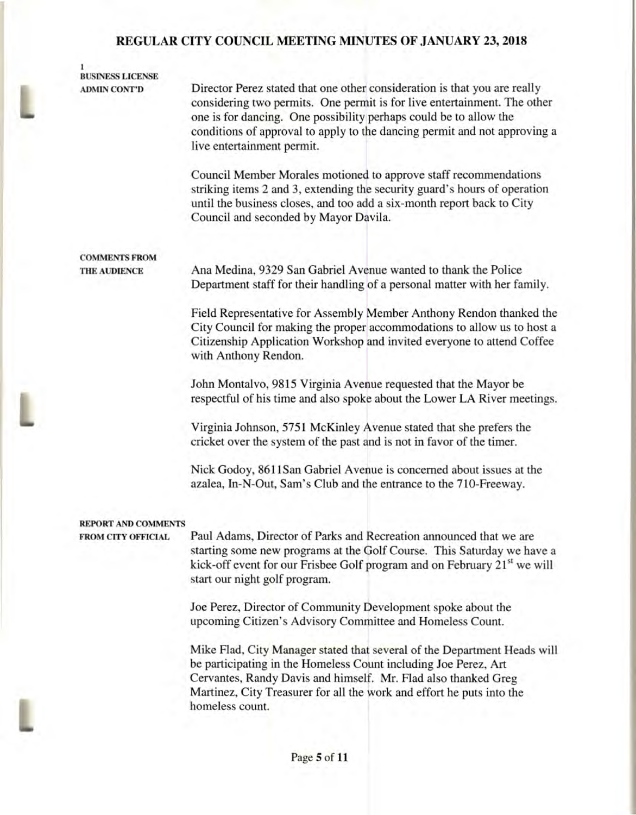### **1 BUSINESS LICENSE**

**leo** 

i

i

**ADMIN CONT'D** Director Perez stated that one other consideration is that you are really considering two permits. One permit is for live entertainment. The other one is for dancing. One possibility perhaps could be to allow the conditions of approval to apply to the dancing permit and not approving a live entertainment permit.

> Council Member Morales motioned to approve staff recommendations striking items 2 and 3, extending the security guard's hours of operation until the business closes, and too add a six-month report back to City Council and seconded by Mayor Davila.

# **COMMENTS FROM**

**THE AUDIENCE** Ana Medina, 9329 San Gabriel Avenue wanted to thank the Police Department staff for their handling of a personal matter with her family.

> Field Representative for Assembly Member Anthony Rendon thanked the City Council for making the proper accommodations to allow us to host a Citizenship Application Workshop and invited everyone to attend Coffee with Anthony Rendon.

> John Montalvo, 9815 Virginia Avenue requested that the Mayor be respectful of his time and also spoke about the Lower LA River meetings.

Virginia Johnson, 5751 McKinley Avenue stated that she prefers the cricket over the system of the past and is not in favor of the timer.

Nick Godoy, 8611San Gabriel Avenue is concerned about issues at the azalea, In-N-Out, Sam's Club and the entrance to the 710-Freeway.

#### **REPORT AND COMMENTS**

**FROM CITY OFFICIAL** Paul Adams, Director of Parks and Recreation announced that we are starting some new programs at the Golf Course. This Saturday we have a kick-off event for our Frisbee Golf program and on February  $21<sup>st</sup>$  we will start our night golf program.

> Joe Perez, Director of Community Development spoke about the upcoming Citizen's Advisory Committee and Homeless Count.

Mike Flad, City Manager stated that several of the Department Heads will be participating in the Homeless Count including Joe Perez, Art Cervantes, Randy Davis and himself. Mr. Flad also thanked Greg Martinez, City Treasurer for all the work and effort he puts into the homeless count.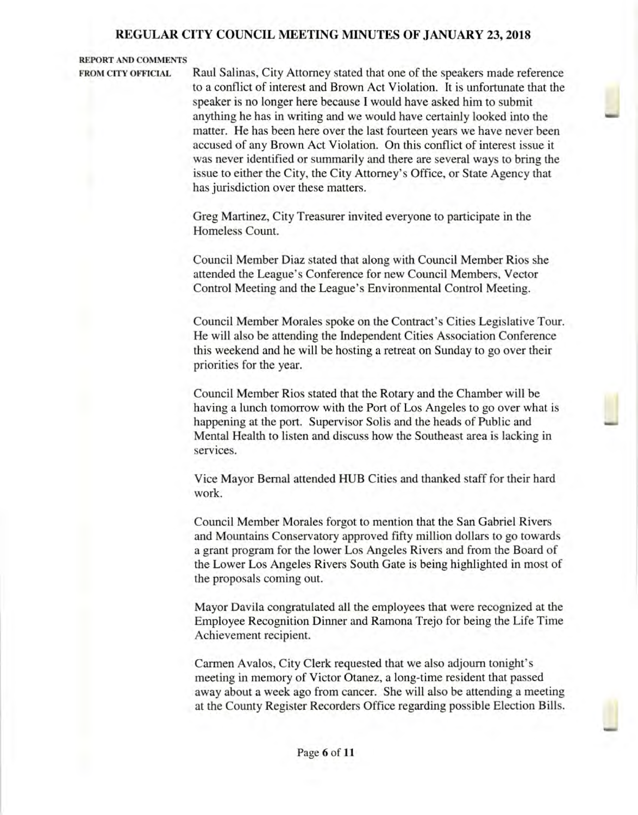**REPORT AND COMMENTS** 

**FROM CITY OFFICIAL** Raul Salinas, City Attorney stated that one of the speakers made reference to a conflict of interest and Brown Act Violation. It is unfortunate that the speaker is no longer here because I would have asked him to submit anything he has in writing and we would have certainly looked into the matter. He has been here over the last fourteen years we have never been accused of any Brown Act Violation. On this conflict of interest issue it was never identified or summarily and there are several ways to bring the issue to either the City, the City Attorney's Office, or State Agency that has jurisdiction over these matters.

> Greg Martinez, City Treasurer invited everyone to participate in the Homeless Count.

Council Member Diaz stated that along with Council Member Rios she attended the League's Conference for new Council Members, Vector Control Meeting and the League's Environmental Control Meeting.

Council Member Morales spoke on the Contract's Cities Legislative Tour. He will also be attending the Independent Cities Association Conference this weekend and he will be hosting a retreat on Sunday to go over their priorities for the year.

Council Member Rios stated that the Rotary and the Chamber will be having a lunch tomorrow with the Port of Los Angeles to go over what is happening at the port. Supervisor Solis and the heads of Public and Mental Health to listen and discuss how the Southeast area is lacking in services.

Vice Mayor Bernal attended HUB Cities and thanked staff for their hard work.

Council Member Morales forgot to mention that the San Gabriel Rivers and Mountains Conservatory approved fifty million dollars to go towards a grant program for the lower Los Angeles Rivers and from the Board of the Lower Los Angeles Rivers South Gate is being highlighted in most of the proposals coming out.

Mayor Davila congratulated all the employees that were recognized at the Employee Recognition Dinner and Ramona Trejo for being the Life Time Achievement recipient.

Carmen Avalos, City Clerk requested that we also adjourn tonight's meeting in memory of Victor Otanez, a long-time resident that passed away about a week ago from cancer. She will also be attending a meeting at the County Register Recorders Office regarding possible Election Bills.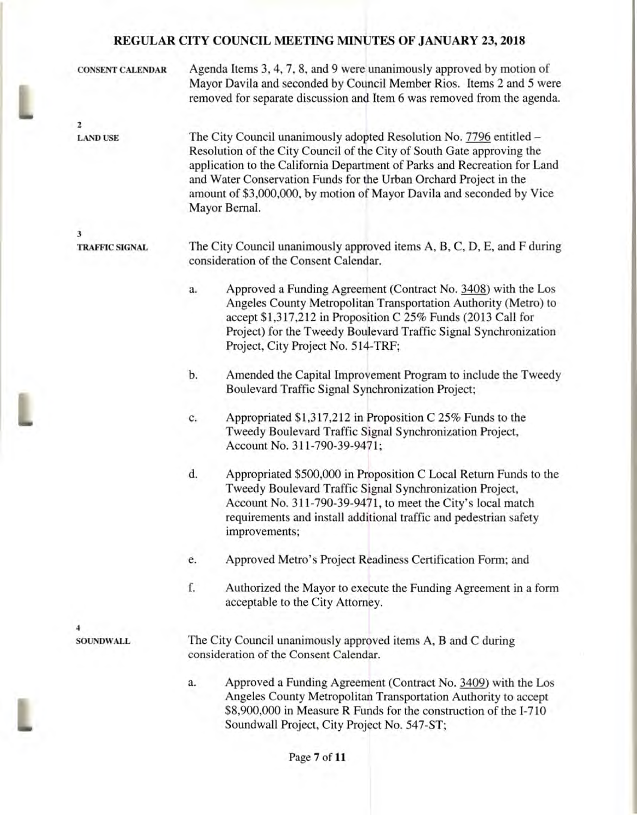| <b>CONSENT CALENDAR</b>         | Agenda Items 3, 4, 7, 8, and 9 were unanimously approved by motion of<br>Mayor Davila and seconded by Council Member Rios. Items 2 and 5 were<br>removed for separate discussion and Item 6 was removed from the agenda.                                                                                                                                                                  |  |  |
|---------------------------------|-------------------------------------------------------------------------------------------------------------------------------------------------------------------------------------------------------------------------------------------------------------------------------------------------------------------------------------------------------------------------------------------|--|--|
|                                 |                                                                                                                                                                                                                                                                                                                                                                                           |  |  |
| $\mathbf{z}$<br><b>LAND USE</b> | The City Council unanimously adopted Resolution No. 7796 entitled -<br>Resolution of the City Council of the City of South Gate approving the<br>application to the California Department of Parks and Recreation for Land<br>and Water Conservation Funds for the Urban Orchard Project in the<br>amount of \$3,000,000, by motion of Mayor Davila and seconded by Vice<br>Mayor Bernal. |  |  |
|                                 |                                                                                                                                                                                                                                                                                                                                                                                           |  |  |
| 3<br><b>TRAFFIC SIGNAL</b>      | The City Council unanimously approved items A, B, C, D, E, and F during<br>consideration of the Consent Calendar.                                                                                                                                                                                                                                                                         |  |  |
|                                 | Approved a Funding Agreement (Contract No. 3408) with the Los<br>a.<br>Angeles County Metropolitan Transportation Authority (Metro) to<br>accept \$1,317,212 in Proposition C 25% Funds (2013 Call for<br>Project) for the Tweedy Boulevard Traffic Signal Synchronization<br>Project, City Project No. 514-TRF;                                                                          |  |  |
|                                 | Amended the Capital Improvement Program to include the Tweedy<br>b.<br>Boulevard Traffic Signal Synchronization Project;                                                                                                                                                                                                                                                                  |  |  |
|                                 | Appropriated \$1,317,212 in Proposition C 25% Funds to the<br>c.<br>Tweedy Boulevard Traffic Signal Synchronization Project,<br>Account No. 311-790-39-9471;                                                                                                                                                                                                                              |  |  |
|                                 | d.<br>Appropriated \$500,000 in Proposition C Local Return Funds to the<br>Tweedy Boulevard Traffic Signal Synchronization Project,<br>Account No. 311-790-39-9471, to meet the City's local match<br>requirements and install additional traffic and pedestrian safety<br>improvements;                                                                                                  |  |  |
|                                 | Approved Metro's Project Readiness Certification Form; and<br>e.                                                                                                                                                                                                                                                                                                                          |  |  |
|                                 | f.<br>Authorized the Mayor to execute the Funding Agreement in a form<br>acceptable to the City Attorney.                                                                                                                                                                                                                                                                                 |  |  |
|                                 |                                                                                                                                                                                                                                                                                                                                                                                           |  |  |
| <b>SOUNDWALL</b>                | The City Council unanimously approved items A, B and C during<br>consideration of the Consent Calendar.                                                                                                                                                                                                                                                                                   |  |  |
|                                 | Approved a Funding Agreement (Contract No. 3409) with the Los<br>a.<br>Angeles County Metropolitan Transportation Authority to accept<br>\$8,900,000 in Measure R Funds for the construction of the I-710<br>Soundwall Project, City Project No. 547-ST;                                                                                                                                  |  |  |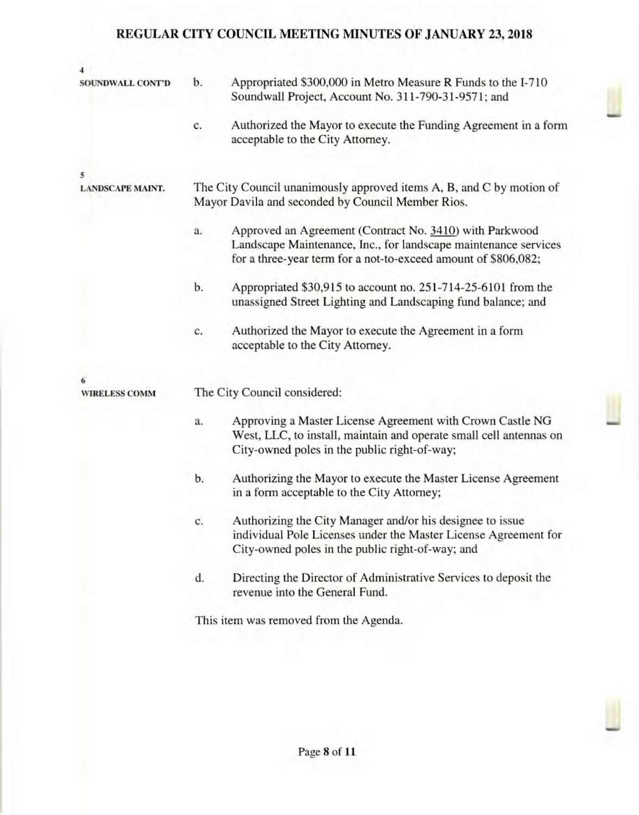| <b>SOUNDWALL CONT'D</b> | b.                                                                                                                        | Appropriated \$300,000 in Metro Measure R Funds to the I-710<br>Soundwall Project, Account No. 311-790-31-9571; and                                                                          |  |  |  |
|-------------------------|---------------------------------------------------------------------------------------------------------------------------|----------------------------------------------------------------------------------------------------------------------------------------------------------------------------------------------|--|--|--|
|                         | c.                                                                                                                        | Authorized the Mayor to execute the Funding Agreement in a form<br>acceptable to the City Attorney.                                                                                          |  |  |  |
| 5                       |                                                                                                                           |                                                                                                                                                                                              |  |  |  |
| <b>LANDSCAPE MAINT.</b> | The City Council unanimously approved items A, B, and C by motion of<br>Mayor Davila and seconded by Council Member Rios. |                                                                                                                                                                                              |  |  |  |
|                         | a.                                                                                                                        | Approved an Agreement (Contract No. 3410) with Parkwood<br>Landscape Maintenance, Inc., for landscape maintenance services<br>for a three-year term for a not-to-exceed amount of \$806,082; |  |  |  |
|                         | b.                                                                                                                        | Appropriated \$30,915 to account no. 251-714-25-6101 from the<br>unassigned Street Lighting and Landscaping fund balance; and                                                                |  |  |  |
|                         | c.                                                                                                                        | Authorized the Mayor to execute the Agreement in a form<br>acceptable to the City Attorney.                                                                                                  |  |  |  |
|                         |                                                                                                                           |                                                                                                                                                                                              |  |  |  |
| <b>WIRELESS COMM</b>    | The City Council considered:                                                                                              |                                                                                                                                                                                              |  |  |  |
|                         | a.                                                                                                                        | Approving a Master License Agreement with Crown Castle NG<br>West, LLC, to install, maintain and operate small cell antennas on<br>City-owned poles in the public right-of-way;              |  |  |  |
|                         | b.                                                                                                                        | Authorizing the Mayor to execute the Master License Agreement<br>in a form acceptable to the City Attorney;                                                                                  |  |  |  |
|                         | c.                                                                                                                        | Authorizing the City Manager and/or his designee to issue<br>individual Pole Licenses under the Master License Agreement for<br>City-owned poles in the public right-of-way; and             |  |  |  |
|                         | d.                                                                                                                        | Directing the Director of Administrative Services to deposit the<br>revenue into the General Fund.                                                                                           |  |  |  |
|                         | This item was removed from the Agenda.                                                                                    |                                                                                                                                                                                              |  |  |  |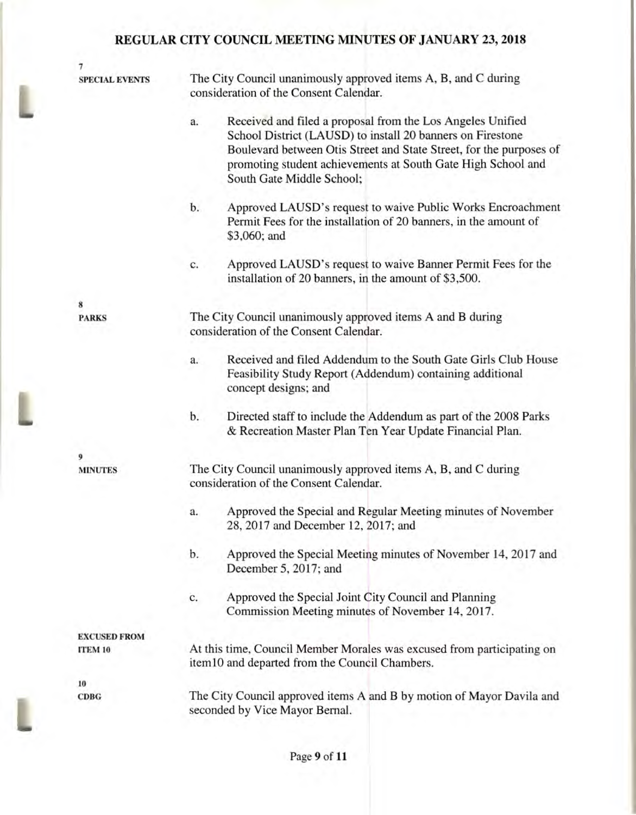**lap** 

L

| 7                     |                                                                                                                                                                                                                                                                                                    |  |
|-----------------------|----------------------------------------------------------------------------------------------------------------------------------------------------------------------------------------------------------------------------------------------------------------------------------------------------|--|
| <b>SPECIAL EVENTS</b> | The City Council unanimously approved items A, B, and C during<br>consideration of the Consent Calendar.                                                                                                                                                                                           |  |
|                       | Received and filed a proposal from the Los Angeles Unified<br>a.<br>School District (LAUSD) to install 20 banners on Firestone<br>Boulevard between Otis Street and State Street, for the purposes of<br>promoting student achievements at South Gate High School and<br>South Gate Middle School; |  |
|                       | Approved LAUSD's request to waive Public Works Encroachment<br>b.<br>Permit Fees for the installation of 20 banners, in the amount of<br>\$3,060; and                                                                                                                                              |  |
|                       | Approved LAUSD's request to waive Banner Permit Fees for the<br>c.<br>installation of 20 banners, in the amount of \$3,500.                                                                                                                                                                        |  |
| 8                     |                                                                                                                                                                                                                                                                                                    |  |
| <b>PARKS</b>          | The City Council unanimously approved items A and B during<br>consideration of the Consent Calendar.                                                                                                                                                                                               |  |
|                       | Received and filed Addendum to the South Gate Girls Club House<br>a.<br>Feasibility Study Report (Addendum) containing additional<br>concept designs; and                                                                                                                                          |  |
|                       | Directed staff to include the Addendum as part of the 2008 Parks<br>b.<br>& Recreation Master Plan Ten Year Update Financial Plan.                                                                                                                                                                 |  |
| 9                     |                                                                                                                                                                                                                                                                                                    |  |
| <b>MINUTES</b>        | The City Council unanimously approved items A, B, and C during<br>consideration of the Consent Calendar.                                                                                                                                                                                           |  |
|                       | Approved the Special and Regular Meeting minutes of November<br>a.<br>28, 2017 and December 12, 2017; and                                                                                                                                                                                          |  |
|                       | Approved the Special Meeting minutes of November 14, 2017 and<br>b.<br>December 5, 2017; and                                                                                                                                                                                                       |  |
|                       | Approved the Special Joint City Council and Planning<br>c.<br>Commission Meeting minutes of November 14, 2017.                                                                                                                                                                                     |  |
| <b>EXCUSED FROM</b>   |                                                                                                                                                                                                                                                                                                    |  |
| <b>ITEM 10</b>        | At this time, Council Member Morales was excused from participating on<br>item10 and departed from the Council Chambers.                                                                                                                                                                           |  |
| 10                    |                                                                                                                                                                                                                                                                                                    |  |
| CDBG                  | The City Council approved items A and B by motion of Mayor Davila and<br>seconded by Vice Mayor Bernal.                                                                                                                                                                                            |  |
|                       |                                                                                                                                                                                                                                                                                                    |  |

Page 9 of 11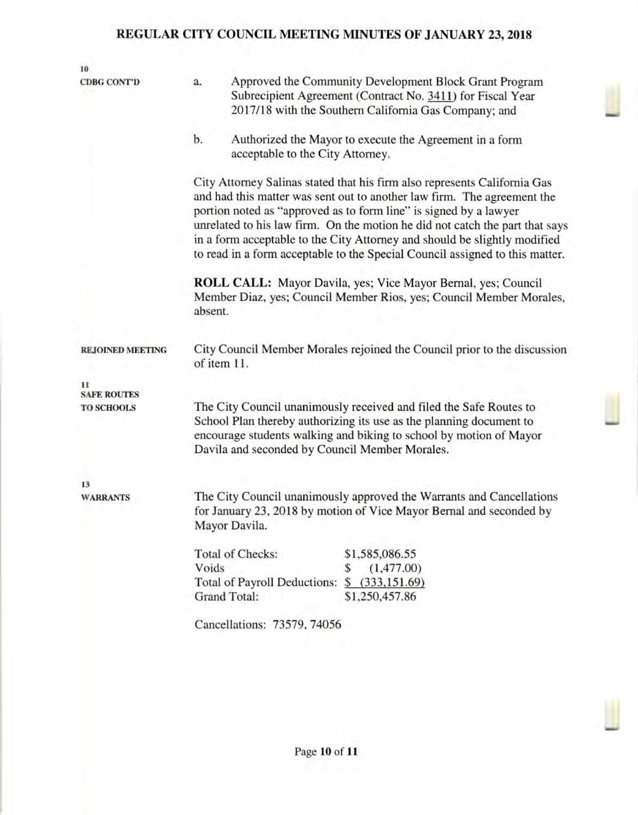| 10<br><b>CDBG CONT'D</b>                | a.                                                                                                                                                                                                                                                                                                                                                                                                                                                                     | Approved the Community Development Block Grant Program<br>Subrecipient Agreement (Contract No. 3411) for Fiscal Year<br>2017/18 with the Southern California Gas Company; and |  |  |  |
|-----------------------------------------|------------------------------------------------------------------------------------------------------------------------------------------------------------------------------------------------------------------------------------------------------------------------------------------------------------------------------------------------------------------------------------------------------------------------------------------------------------------------|-------------------------------------------------------------------------------------------------------------------------------------------------------------------------------|--|--|--|
|                                         | b.                                                                                                                                                                                                                                                                                                                                                                                                                                                                     | Authorized the Mayor to execute the Agreement in a form<br>acceptable to the City Attorney.                                                                                   |  |  |  |
|                                         | City Attorney Salinas stated that his firm also represents California Gas<br>and had this matter was sent out to another law firm. The agreement the<br>portion noted as "approved as to form line" is signed by a lawyer<br>unrelated to his law firm. On the motion he did not catch the part that says<br>in a form acceptable to the City Attorney and should be slightly modified<br>to read in a form acceptable to the Special Council assigned to this matter. |                                                                                                                                                                               |  |  |  |
|                                         | ROLL CALL: Mayor Davila, yes; Vice Mayor Bernal, yes; Council<br>Member Diaz, yes; Council Member Rios, yes; Council Member Morales,<br>absent.                                                                                                                                                                                                                                                                                                                        |                                                                                                                                                                               |  |  |  |
| <b>REJOINED MEETING</b>                 | City Council Member Morales rejoined the Council prior to the discussion<br>of item 11.                                                                                                                                                                                                                                                                                                                                                                                |                                                                                                                                                                               |  |  |  |
| 11                                      |                                                                                                                                                                                                                                                                                                                                                                                                                                                                        |                                                                                                                                                                               |  |  |  |
| <b>SAFE ROUTES</b><br><b>TO SCHOOLS</b> | The City Council unanimously received and filed the Safe Routes to<br>School Plan thereby authorizing its use as the planning document to<br>encourage students walking and biking to school by motion of Mayor<br>Davila and seconded by Council Member Morales.                                                                                                                                                                                                      |                                                                                                                                                                               |  |  |  |
| 13<br><b>WARRANTS</b>                   | The City Council unanimously approved the Warrants and Cancellations<br>for January 23, 2018 by motion of Vice Mayor Bernal and seconded by<br>Mayor Davila.                                                                                                                                                                                                                                                                                                           |                                                                                                                                                                               |  |  |  |
|                                         | Voids                                                                                                                                                                                                                                                                                                                                                                                                                                                                  | <b>Total of Checks:</b><br>\$1,585,086.55<br>(1,477.00)<br>\$<br>Total of Payroll Deductions:<br>\$ (333,151.69)<br><b>Grand Total:</b><br>\$1,250,457.86                     |  |  |  |
|                                         |                                                                                                                                                                                                                                                                                                                                                                                                                                                                        | Cancellations: 73579, 74056                                                                                                                                                   |  |  |  |